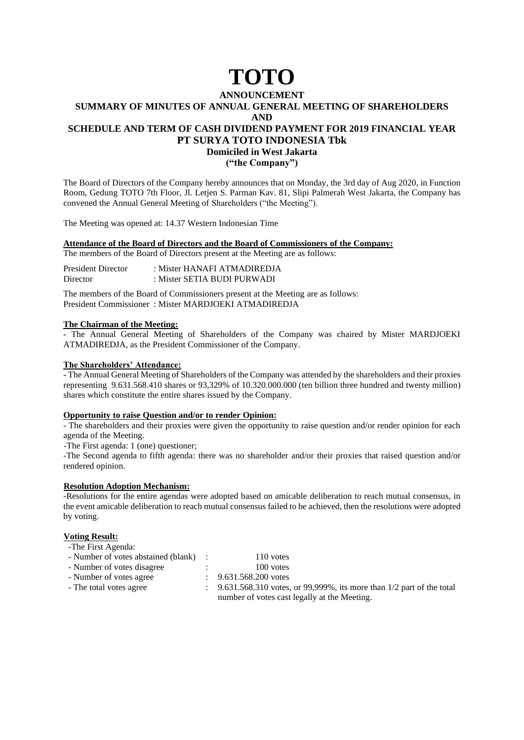# **TOTO**

#### **ANNOUNCEMENT SUMMARY OF MINUTES OF ANNUAL GENERAL MEETING OF SHAREHOLDERS**

**AND**

# **SCHEDULE AND TERM OF CASH DIVIDEND PAYMENT FOR 2019 FINANCIAL YEAR PT SURYA TOTO INDONESIA Tbk**

**Domiciled in West Jakarta**

**("the Company")**

The Board of Directors of the Company hereby announces that on Monday, the 3rd day of Aug 2020, in Function Room, Gedung TOTO 7th Floor, Jl. Letjen S. Parman Kav. 81, Slipi Palmerah West Jakarta, the Company has convened the Annual General Meeting of Shareholders ("the Meeting").

The Meeting was opened at: 14.37 Western Indonesian Time

# **Attendance of the Board of Directors and the Board of Commissioners of the Company:**

The members of the Board of Directors present at the Meeting are as follows:

| <b>President Director</b> | : Mister HANAFI ATMADIREDJA |
|---------------------------|-----------------------------|
| Director                  | : Mister SETIA BUDI PURWADI |

The members of the Board of Commissioners present at the Meeting are as follows: President Commissioner : Mister MARDJOEKI ATMADIREDJA

# **The Chairman of the Meeting:**

- The Annual General Meeting of Shareholders of the Company was chaired by Mister MARDJOEKI ATMADIREDJA, as the President Commissioner of the Company.

# **The Shareholders' Attendance:**

- The Annual General Meeting of Shareholders of the Company was attended by the shareholders and their proxies representing 9.631.568.410 shares or 93,329% of 10.320.000.000 (ten billion three hundred and twenty million) shares which constitute the entire shares issued by the Company.

# **Opportunity to raise Question and/or to render Opinion:**

- The shareholders and their proxies were given the opportunity to raise question and/or render opinion for each agenda of the Meeting.

-The First agenda: 1 (one) questioner;

-The Second agenda to fifth agenda: there was no shareholder and/or their proxies that raised question and/or rendered opinion.

# **Resolution Adoption Mechanism:**

-Resolutions for the entire agendas were adopted based on amicable deliberation to reach mutual consensus, in the event amicable deliberation to reach mutual consensus failed to be achieved, then the resolutions were adopted by voting.

# **Voting Result:**

| -The First Agenda: |  |
|--------------------|--|
|--------------------|--|

| - Number of votes abstained (blank) | 110 votes |
|-------------------------------------|-----------|
| - Number of votes disagree          | 100 votes |

- Number of votes agree : 9.631.568.200 votes
- 
- The total votes agree : 9.631.568.310 votes, or 99,999%, its more than  $1/2$  part of the total number of votes cast legally at the Meeting.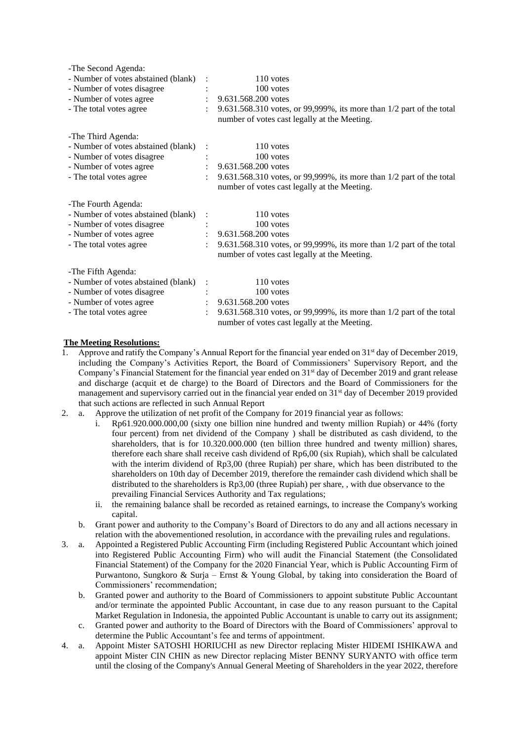| -The Second Agenda:                 |                                                                                                                      |
|-------------------------------------|----------------------------------------------------------------------------------------------------------------------|
| - Number of votes abstained (blank) | 110 votes                                                                                                            |
| - Number of votes disagree          | 100 votes                                                                                                            |
| - Number of votes agree             | $\therefore$ 9.631.568.200 votes                                                                                     |
| - The total votes agree             | 9.631.568.310 votes, or 99,999%, its more than 1/2 part of the total<br>number of votes cast legally at the Meeting. |
| -The Third Agenda:                  |                                                                                                                      |
| - Number of votes abstained (blank) | 110 votes                                                                                                            |
| - Number of votes disagree          | 100 votes                                                                                                            |
| - Number of votes agree             | 9.631.568.200 votes                                                                                                  |
| - The total votes agree             | 9.631.568.310 votes, or 99,999%, its more than 1/2 part of the total                                                 |
|                                     | number of votes cast legally at the Meeting.                                                                         |
| -The Fourth Agenda:                 |                                                                                                                      |
| - Number of votes abstained (blank) | 110 votes                                                                                                            |
| - Number of votes disagree          | 100 votes                                                                                                            |
| - Number of votes agree             | 9.631.568.200 votes                                                                                                  |
| - The total votes agree             | 9.631.568.310 votes, or 99,999%, its more than 1/2 part of the total                                                 |
|                                     | number of votes cast legally at the Meeting.                                                                         |
| -The Fifth Agenda:                  |                                                                                                                      |
| - Number of votes abstained (blank) | 110 votes                                                                                                            |
| - Number of votes disagree          | 100 votes                                                                                                            |
| - Number of votes agree             | 9.631.568.200 votes                                                                                                  |
| - The total votes agree             | 9.631.568.310 votes, or 99,999%, its more than 1/2 part of the total                                                 |
|                                     | number of votes cast legally at the Meeting.                                                                         |

# **The Meeting Resolutions:**

- Approve and ratify the Company's Annual Report for the financial year ended on 31<sup>st</sup> day of December 2019, including the Company's Activities Report, the Board of Commissioners' Supervisory Report, and the Company's Financial Statement for the financial year ended on 31st day of December 2019 and grant release and discharge (acquit et de charge) to the Board of Directors and the Board of Commissioners for the management and supervisory carried out in the financial year ended on 31<sup>st</sup> day of December 2019 provided that such actions are reflected in such Annual Report
- 2. a. Approve the utilization of net profit of the Company for 2019 financial year as follows:
	- i. Rp61.920.000.000,00 (sixty one billion nine hundred and twenty million Rupiah) or 44% (forty four percent) from net dividend of the Company ) shall be distributed as cash dividend, to the shareholders, that is for 10.320.000.000 (ten billion three hundred and twenty million) shares, therefore each share shall receive cash dividend of Rp6,00 (six Rupiah), which shall be calculated with the interim dividend of Rp3,00 (three Rupiah) per share, which has been distributed to the shareholders on 10th day of December 2019, therefore the remainder cash dividend which shall be distributed to the shareholders is Rp3,00 (three Rupiah) per share, , with due observance to the prevailing Financial Services Authority and Tax regulations;
		- ii. the remaining balance shall be recorded as retained earnings, to increase the Company's working capital.
	- b. Grant power and authority to the Company's Board of Directors to do any and all actions necessary in relation with the abovementioned resolution, in accordance with the prevailing rules and regulations.
- 3. a. Appointed a Registered Public Accounting Firm (including Registered Public Accountant which joined into Registered Public Accounting Firm) who will audit the Financial Statement (the Consolidated Financial Statement) of the Company for the 2020 Financial Year, which is Public Accounting Firm of Purwantono, Sungkoro & Surja – Ernst & Young Global, by taking into consideration the Board of Commissioners' recommendation;
	- b. Granted power and authority to the Board of Commissioners to appoint substitute Public Accountant and/or terminate the appointed Public Accountant, in case due to any reason pursuant to the Capital Market Regulation in Indonesia, the appointed Public Accountant is unable to carry out its assignment;
	- c. Granted power and authority to the Board of Directors with the Board of Commissioners' approval to determine the Public Accountant's fee and terms of appointment.
- 4. a. Appoint Mister SATOSHI HORIUCHI as new Director replacing Mister HIDEMI ISHIKAWA and appoint Mister CIN CHIN as new Director replacing Mister BENNY SURYANTO with office term until the closing of the Company's Annual General Meeting of Shareholders in the year 2022, therefore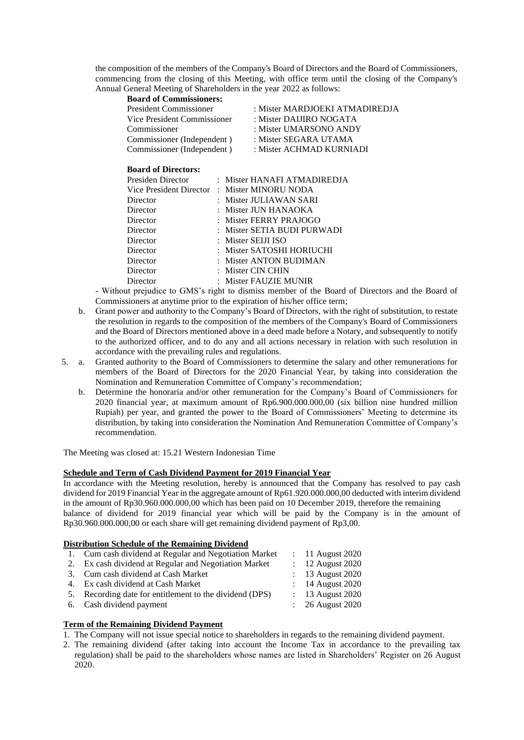the composition of the members of the Company's Board of Directors and the Board of Commissioners, commencing from the closing of this Meeting, with office term until the closing of the Company's Annual General Meeting of Shareholders in the year 2022 as follows:

### **Board of Commissioners:**

| President Commissioner      | : Mister MARDJOEKI ATMADIREDJA |
|-----------------------------|--------------------------------|
| Vice President Commissioner | : Mister DAIJIRO NOGATA        |
| Commissioner                | : Mister UMARSONO ANDY         |
| Commissioner (Independent)  | : Mister SEGARA UTAMA          |
| Commissioner (Independent)  | : Mister ACHMAD KURNIADI       |

# **Board of Directors:**

| Presiden Director | : Mister HANAFI ATMADIREDJA                  |
|-------------------|----------------------------------------------|
|                   | Vice President Director : Mister MINORU NODA |
| Director          | : Mister JULIAWAN SARI                       |
| Director          | : Mister JUN HANAOKA                         |
| Director          | : Mister FERRY PRAJOGO                       |
| Director          | : Mister SETIA BUDI PURWADI                  |
| Director          | : Mister SEIJI ISO                           |
| Director          | : Mister SATOSHI HORIUCHI                    |
| Director          | : Mister ANTON BUDIMAN                       |
| Director          | : Mister CIN CHIN                            |
| Director          | : Mister FAUZIE MUNIR                        |

- Without prejudice to GMS's right to dismiss member of the Board of Directors and the Board of Commissioners at anytime prior to the expiration of his/her office term;

- b. Grant power and authority to the Company's Board of Directors, with the right of substitution, to restate the resolution in regards to the composition of the members of the Company's Board of Commissioners and the Board of Directors mentioned above in a deed made before a Notary, and subsequently to notify to the authorized officer, and to do any and all actions necessary in relation with such resolution in accordance with the prevailing rules and regulations.
- 5. a. Granted authority to the Board of Commissioners to determine the salary and other remunerations for members of the Board of Directors for the 2020 Financial Year, by taking into consideration the Nomination and Remuneration Committee of Company's recommendation;
	- b. Determine the honoraria and/or other remuneration for the Company's Board of Commissioners for 2020 financial year, at maximum amount of Rp6.900.000.000,00 (six billion nine hundred million Rupiah) per year, and granted the power to the Board of Commissioners' Meeting to determine its distribution, by taking into consideration the Nomination And Remuneration Committee of Company's recommendation.

The Meeting was closed at: 15.21 Western Indonesian Time

### **Schedule and Term of Cash Dividend Payment for 2019 Financial Year**

In accordance with the Meeting resolution, hereby is announced that the Company has resolved to pay cash dividend for 2019 Financial Year in the aggregate amount of Rp61.920.000.000,00 deducted with interim dividend in the amount of Rp30.960.000.000,00 which has been paid on 10 December 2019, therefore the remaining balance of dividend for 2019 financial year which will be paid by the Company is in the amount of Rp30.960.000.000,00 or each share will get remaining dividend payment of Rp3,00.

### **Distribution Schedule of the Remaining Dividend**

| 1. Cum cash dividend at Regular and Negotiation Market  | $\therefore$ 11 August 2020 |
|---------------------------------------------------------|-----------------------------|
| 2. Ex cash dividend at Regular and Negotiation Market   | $: 12$ August 2020          |
| 3. Cum cash dividend at Cash Market                     | $: 13$ August 2020          |
| 4. Ex cash dividend at Cash Market                      | $: 14$ August 2020          |
| 5. Recording date for entitlement to the dividend (DPS) | $: 13$ August 2020          |
| 6. Cash dividend payment                                | $\therefore$ 26 August 2020 |
|                                                         |                             |

# **Term of the Remaining Dividend Payment**

- 1. The Company will not issue special notice to shareholders in regards to the remaining dividend payment.
- 2. The remaining dividend (after taking into account the Income Tax in accordance to the prevailing tax regulation) shall be paid to the shareholders whose names are listed in Shareholders' Register on 26 August 2020.